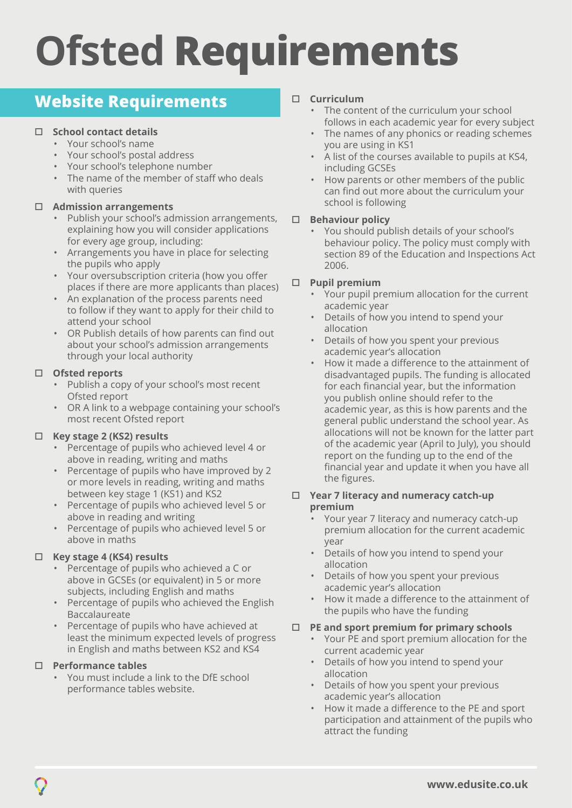# **Ofsted Requirements**

# **Website Requirements**

# □ School contact details

- Your school's name
- Your school's postal address
- Your school's telephone number
- The name of the member of staff who deals with queries

# o **Admission arrangements**

- Publish your school's admission arrangements, explaining how you will consider applications for every age group, including:
- Arrangements you have in place for selecting the pupils who apply
- Your oversubscription criteria (how you offer places if there are more applicants than places)
- An explanation of the process parents need to follow if they want to apply for their child to attend your school
- OR Publish details of how parents can find out about your school's admission arrangements through your local authority

## □ Ofsted reports

- Publish a copy of your school's most recent Ofsted report
- OR A link to a webpage containing your school's most recent Ofsted report

# o **Key stage 2 (KS2) results**

- Percentage of pupils who achieved level 4 or above in reading, writing and maths
- Percentage of pupils who have improved by 2 or more levels in reading, writing and maths between key stage 1 (KS1) and KS2
- Percentage of pupils who achieved level 5 or above in reading and writing
- Percentage of pupils who achieved level 5 or above in maths

# o **Key stage 4 (KS4) results**

- Percentage of pupils who achieved a C or above in GCSEs (or equivalent) in 5 or more subjects, including English and maths
- Percentage of pupils who achieved the English Baccalaureate
- Percentage of pupils who have achieved at least the minimum expected levels of progress in English and maths between KS2 and KS4

#### o **Performance tables**

• You must include a link to the DfE school performance tables website.

## o **Curriculum**

- The content of the curriculum your school follows in each academic year for every subject
- The names of any phonics or reading schemes you are using in KS1
- A list of the courses available to pupils at KS4, including GCSEs
- How parents or other members of the public can find out more about the curriculum your school is following

#### □ **Behaviour policy**

• You should publish details of your school's behaviour policy. The policy must comply with section 89 of the Education and Inspections Act 2006.

## o **Pupil premium**

- Your pupil premium allocation for the current academic year
- Details of how you intend to spend your allocation
- Details of how you spent your previous academic year's allocation
- How it made a difference to the attainment of disadvantaged pupils. The funding is allocated for each financial year, but the information you publish online should refer to the academic year, as this is how parents and the general public understand the school year. As allocations will not be known for the latter part of the academic year (April to July), you should report on the funding up to the end of the financial year and update it when you have all the figures.

#### o **Year 7 literacy and numeracy catch-up premium**

- Your year 7 literacy and numeracy catch-up premium allocation for the current academic year
- Details of how you intend to spend your allocation
- Details of how you spent your previous academic year's allocation
- How it made a difference to the attainment of the pupils who have the funding

#### o **PE and sport premium for primary schools**

- Your PE and sport premium allocation for the current academic year
- Details of how you intend to spend your allocation
- Details of how you spent your previous academic year's allocation
- How it made a difference to the PE and sport participation and attainment of the pupils who attract the funding